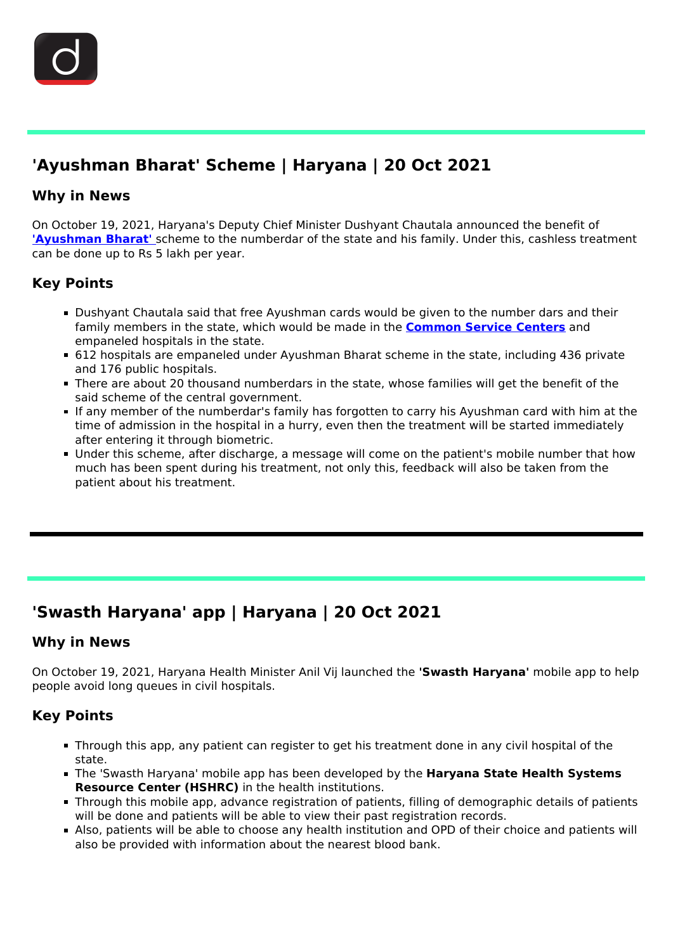

# **'Ayushman Bharat' Scheme | Haryana | 20 Oct 2021**

### **Why in News**

On October 19, 2021, Haryana's Deputy Chief Minister Dushyant Chautala announced the benefit of **['Ayushman Bharat'](/daily-updates/daily-news-editorials/ayushmanbharat)** [s](/daily-updates/daily-news-editorials/ayushmanbharat)cheme to the numberdar of the state and his family. Under this, cashless treatment can be done up to Rs 5 lakh per year.

## **Key Points**

- Dushyant Chautala said that free Ayushman cards would be given to the number dars and their family members in the state, which would be made in the **[Common Service Centers](/daily-updates/daily-news-analysis/common-services-centres-csc)** and empaneled hospitals in the state.
- 612 hospitals are empaneled under Ayushman Bharat scheme in the state, including 436 private and 176 public hospitals.
- There are about 20 thousand numberdars in the state, whose families will get the benefit of the said scheme of the central government.
- If any member of the numberdar's family has forgotten to carry his Ayushman card with him at the time of admission in the hospital in a hurry, even then the treatment will be started immediately after entering it through biometric.
- Under this scheme, after discharge, a message will come on the patient's mobile number that how much has been spent during his treatment, not only this, feedback will also be taken from the patient about his treatment.

## **'Swasth Haryana' app | Haryana | 20 Oct 2021**

#### **Why in News**

On October 19, 2021, Haryana Health Minister Anil Vij launched the **'Swasth Haryana'** mobile app to help people avoid long queues in civil hospitals.

## **Key Points**

- Through this app, any patient can register to get his treatment done in any civil hospital of the state.
- The 'Swasth Haryana' mobile app has been developed by the **Haryana State Health Systems Resource Center (HSHRC)** in the health institutions.
- Through this mobile app, advance registration of patients, filling of demographic details of patients will be done and patients will be able to view their past registration records.
- Also, patients will be able to choose any health institution and OPD of their choice and patients will also be provided with information about the nearest blood bank.